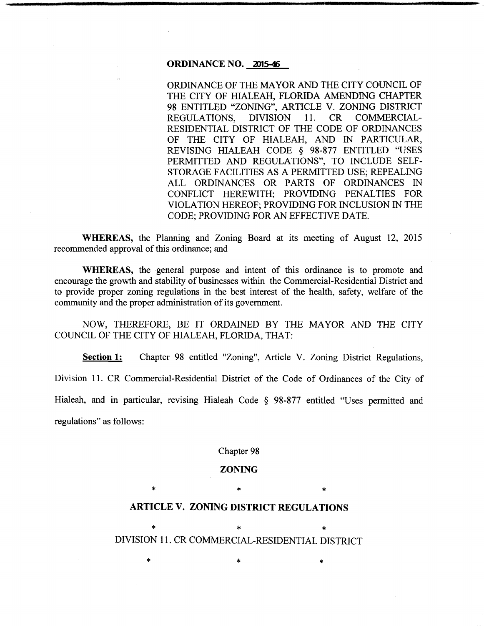# **ORDINANCE NO. 2015-46**

ORDINANCE OF THE MAYOR AND THE CITY COUNCIL OF THE CITY OF HIALEAH, FLORIDA AMENDING CHAPTER 98 ENTITLED "ZONING", ARTICLE V. ZONING DISTRICT REGULATIONS, DIVISION 11. CR COMMERCIAL-RESIDENTIAL DISTRICT OF THE CODE OF ORDINANCES OF THE CITY OF HIALEAH, AND IN PARTICULAR, REVISING HIALEAH CODE § 98-877 ENTITLED "USES PERMITTED AND REGULATIONS", TO INCLUDE SELF-STORAGE FACILITIES AS A PERMITTED USE; REPEALING ALL ORDINANCES OR PARTS OF ORDINANCES IN CONFLICT HEREWITH; PROVIDING PENAL TIES FOR VIOLATION HEREOF; PROVIDING FOR INCLUSION IN THE CODE; PROVIDING FOR AN EFFECTIVE DATE.

**WHEREAS,** the Planning and Zoning Board at its meeting of August 12, 2015 recommended approval of this ordinance; and

**WHEREAS,** the general purpose and intent of this ordinance is to promote and encourage the growth and stability of businesses within the Commercial-Residential District and to provide proper zoning regulations in the best interest of the health, safety, welfare of the community and the proper administration of its government.

NOW, THEREFORE, BE IT ORDAINED BY THE MAYOR AND THE CITY COUNCIL OF THE CITY OF HIALEAH, FLORIDA, THAT:

**Section 1:** Chapter 98 entitled "Zoning", Article V. Zoning District Regulations, Division 11. CR Commercial-Residential District of the Code of Ordinances of the City of Hialeah, and in particular, revising Hialeah Code § 98-877 entitled "Uses permitted and regulations" as follows:

Chapter 98

### **ZONING**

# $*$  \*  $*$  \* **ARTICLE V. ZONING DISTRICT REGULATIONS**

\*  $*$  \* \* \* DIVISION 11. CR COMMERCIAL-RESIDENTIAL DISTRICT

 $\ast$   $\ast$   $\ast$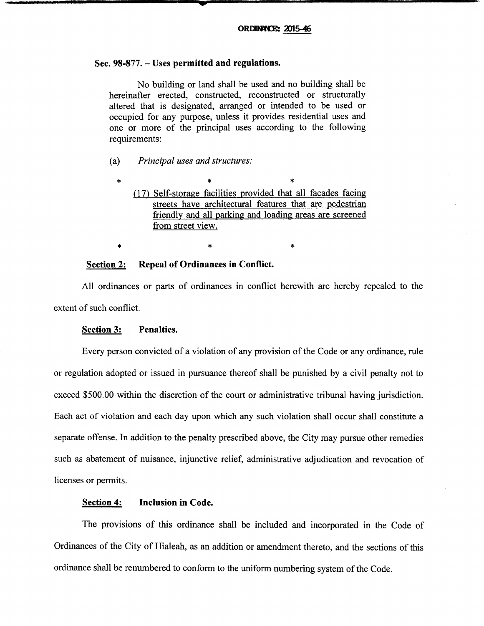# Sec. 98-877. - Uses permitted and regulations.

No building or land shall be used and no building shall be hereinafter erected, constructed, reconstructed or structurally altered that is designated, arranged or intended to be used or occupied for any purpose, unless it provides residential uses and one or more of the principal uses according to the following requirements:

- (a) *Principal uses and structures:* 
	- \* \* (17) Self-storage facilities provided that all facades facing streets have architectural features that are pedestrian friendly and all parking and loading areas are screened from street view.

\* \*

### Section 2: Repeal of Ordinances in Conflict.

All ordinances or parts of ordinances in conflict herewith are hereby repealed to the extent of such conflict.

#### Section 3: Penalties.

\*

\*

Every person convicted of a violation of any provision of the Code or any ordinance, rule or regulation adopted or issued in pursuance thereof shall be punished by a civil penalty not to exceed \$500.00 within the discretion of the court or administrative tribunal having jurisdiction. Each act of violation and each day upon which any such violation shall occur shall constitute a separate offense. In addition to the penalty prescribed above, the City may pursue other remedies such as abatement of nuisance, injunctive relief, administrative adjudication and revocation of licenses or permits.

## Section 4: Inclusion in Code.

The provisions of this ordinance shall be included and incorporated in the Code of Ordinances of the City of Hialeah, as an addition or amendment thereto, and the sections of this ordinance shall be renumbered to conform to the uniform numbering system of the Code.